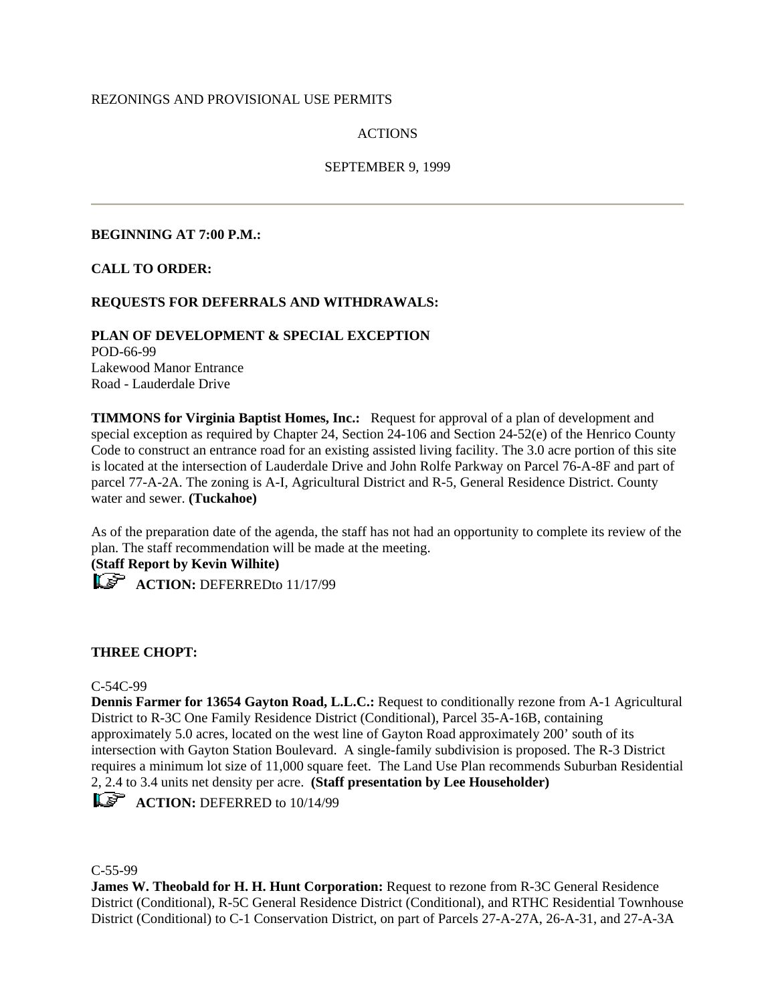# REZONINGS AND PROVISIONAL USE PERMITS

# ACTIONS

# SEPTEMBER 9, 1999

### **BEGINNING AT 7:00 P.M.:**

### **CALL TO ORDER:**

# **REQUESTS FOR DEFERRALS AND WITHDRAWALS:**

**PLAN OF DEVELOPMENT & SPECIAL EXCEPTION** POD-66-99 Lakewood Manor Entrance Road - Lauderdale Drive

**TIMMONS for Virginia Baptist Homes, Inc.:** Request for approval of a plan of development and special exception as required by Chapter 24, Section 24-106 and Section 24-52(e) of the Henrico County Code to construct an entrance road for an existing assisted living facility. The 3.0 acre portion of this site is located at the intersection of Lauderdale Drive and John Rolfe Parkway on Parcel 76-A-8F and part of parcel 77-A-2A. The zoning is A-I, Agricultural District and R-5, General Residence District. County water and sewer. **(Tuckahoe)**

As of the preparation date of the agenda, the staff has not had an opportunity to complete its review of the plan. The staff recommendation will be made at the meeting.

**(Staff Report by Kevin Wilhite)**



**ACTION:** DEFERREDto 11/17/99

# **THREE CHOPT:**

#### C-54C-99

**Dennis Farmer for 13654 Gayton Road, L.L.C.:** Request to conditionally rezone from A-1 Agricultural District to R-3C One Family Residence District (Conditional), Parcel 35-A-16B, containing approximately 5.0 acres, located on the west line of Gayton Road approximately 200' south of its intersection with Gayton Station Boulevard. A single-family subdivision is proposed. The R-3 District requires a minimum lot size of 11,000 square feet. The Land Use Plan recommends Suburban Residential 2, 2.4 to 3.4 units net density per acre. **(Staff presentation by Lee Householder)**

**ACTION:** DEFERRED to 10/14/99

C-55-99

**James W. Theobald for H. H. Hunt Corporation:** Request to rezone from R-3C General Residence District (Conditional), R-5C General Residence District (Conditional), and RTHC Residential Townhouse District (Conditional) to C-1 Conservation District, on part of Parcels 27-A-27A, 26-A-31, and 27-A-3A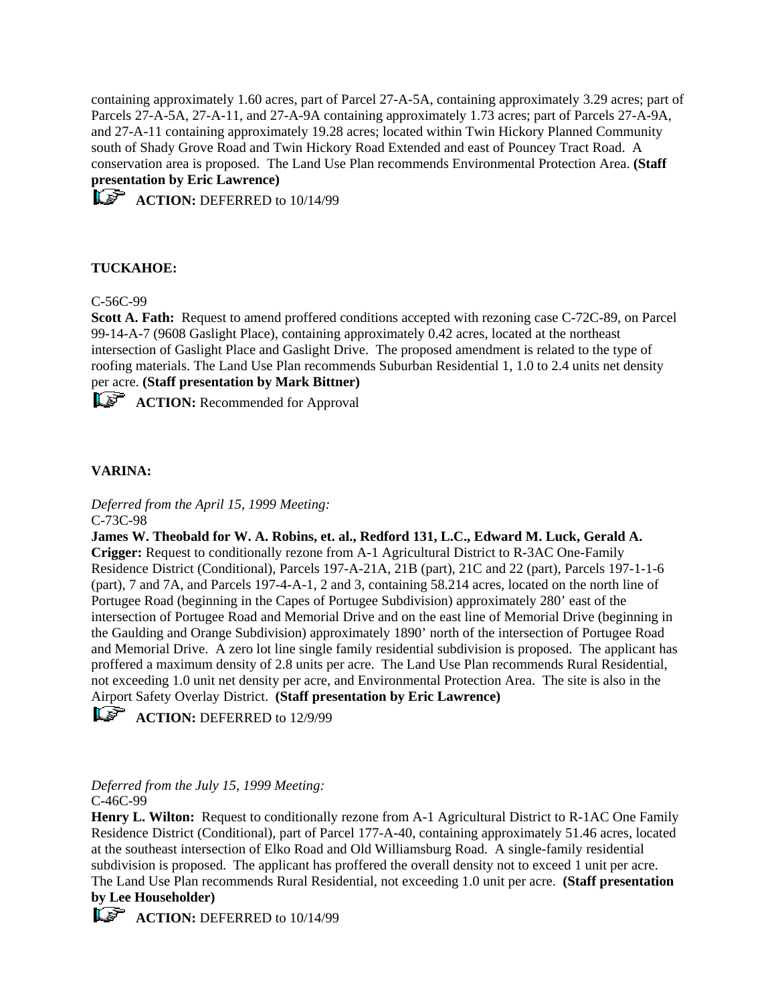containing approximately 1.60 acres, part of Parcel 27-A-5A, containing approximately 3.29 acres; part of Parcels 27-A-5A, 27-A-11, and 27-A-9A containing approximately 1.73 acres; part of Parcels 27-A-9A, and 27-A-11 containing approximately 19.28 acres; located within Twin Hickory Planned Community south of Shady Grove Road and Twin Hickory Road Extended and east of Pouncey Tract Road. A conservation area is proposed. The Land Use Plan recommends Environmental Protection Area. **(Staff presentation by Eric Lawrence)**

**ACTION:** DEFERRED to 10/14/99

# **TUCKAHOE:**

C-56C-99

**Scott A. Fath:** Request to amend proffered conditions accepted with rezoning case C-72C-89, on Parcel 99-14-A-7 (9608 Gaslight Place), containing approximately 0.42 acres, located at the northeast intersection of Gaslight Place and Gaslight Drive. The proposed amendment is related to the type of roofing materials. The Land Use Plan recommends Suburban Residential 1, 1.0 to 2.4 units net density per acre. **(Staff presentation by Mark Bittner)**

**ACTION:** Recommended for Approval

# **VARINA:**

*Deferred from the April 15, 1999 Meeting:* C-73C-98

**James W. Theobald for W. A. Robins, et. al., Redford 131, L.C., Edward M. Luck, Gerald A. Crigger:** Request to conditionally rezone from A-1 Agricultural District to R-3AC One-Family Residence District (Conditional), Parcels 197-A-21A, 21B (part), 21C and 22 (part), Parcels 197-1-1-6 (part), 7 and 7A, and Parcels 197-4-A-1, 2 and 3, containing 58.214 acres, located on the north line of Portugee Road (beginning in the Capes of Portugee Subdivision) approximately 280' east of the intersection of Portugee Road and Memorial Drive and on the east line of Memorial Drive (beginning in the Gaulding and Orange Subdivision) approximately 1890' north of the intersection of Portugee Road and Memorial Drive. A zero lot line single family residential subdivision is proposed. The applicant has proffered a maximum density of 2.8 units per acre. The Land Use Plan recommends Rural Residential, not exceeding 1.0 unit net density per acre, and Environmental Protection Area. The site is also in the Airport Safety Overlay District. **(Staff presentation by Eric Lawrence)**

**ACTION:** DEFERRED to 12/9/99

*Deferred from the July 15, 1999 Meeting:* C-46C-99

**Henry L. Wilton:** Request to conditionally rezone from A-1 Agricultural District to R-1AC One Family Residence District (Conditional), part of Parcel 177-A-40, containing approximately 51.46 acres, located at the southeast intersection of Elko Road and Old Williamsburg Road. A single-family residential subdivision is proposed. The applicant has proffered the overall density not to exceed 1 unit per acre. The Land Use Plan recommends Rural Residential, not exceeding 1.0 unit per acre. **(Staff presentation by Lee Householder)**

**ACTION:** DEFERRED to 10/14/99